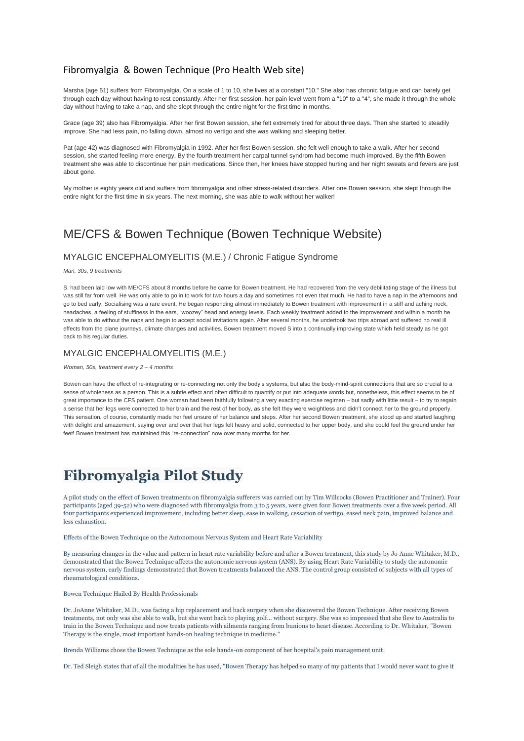### Fibromyalgia & Bowen Technique (Pro Health Web site)

Marsha (age 51) suffers from Fibromyalgia. On a scale of 1 to 10, she lives at a constant "10." She also has chronic fatigue and can barely get through each day without having to rest constantly. After her first session, her pain level went from a "10" to a "4", she made it through the whole day without having to take a nap, and she slept through the entire night for the first time in months.

Grace (age 39) also has Fibromyalgia. After her first Bowen session, she felt extremely tired for about three days. Then she started to steadily improve. She had less pain, no falling down, almost no vertigo and she was walking and sleeping better.

Pat (age 42) was diagnosed with Fibromyalgia in 1992. After her first Bowen session, she felt well enough to take a walk. After her second session, she started feeling more energy. By the fourth treatment her carpal tunnel syndrom had become much improved. By the fifth Bowen treatment she was able to discontinue her pain medications. Since then, her knees have stopped hurting and her night sweats and fevers are just about gone.

My mother is eighty years old and suffers from fibromyalgia and other stress-related disorders. After one Bowen session, she slept through the entire night for the first time in six years. The next morning, she was able to walk without her walker!

## ME/CFS & Bowen Technique (Bowen Technique Website)

#### MYALGIC ENCEPHALOMYELITIS (M.E.) / Chronic Fatigue Syndrome

*Man, 30s, 9 treatments*

S. had been laid low with ME/CFS about 8 months before he came for Bowen treatment. He had recovered from the very debilitating stage of the illness but was still far from well. He was only able to go in to work for two hours a day and sometimes not even that much. He had to have a nap in the afternoons and go to bed early. Socialising was a rare event. He began responding almost immediately to Bowen treatment with improvement in a stiff and aching neck, headaches, a feeling of stuffiness in the ears, "woozey" head and energy levels. Each weekly treatment added to the improvement and within a month he was able to do without the naps and begin to accept social invitations again. After several months, he undertook two trips abroad and suffered no real ill effects from the plane journeys, climate changes and activities. Bowen treatment moved S into a continually improving state which held steady as he got back to his regular duties.

#### MYALGIC ENCEPHALOMYELITIS (M.E.)

#### *Woman, 50s, treatment every 2 – 4 months*

Bowen can have the effect of re-integrating or re-connecting not only the body's systems, but also the body-mind-spirit connections that are so crucial to a sense of wholeness as a person. This is a subtle effect and often difficult to quantify or put into adequate words but, nonetheless, this effect seems to be of great importance to the CFS patient. One woman had been faithfully following a very exacting exercise regimen – but sadly with little result – to try to regain a sense that her legs were connected to her brain and the rest of her body, as she felt they were weightless and didn't connect her to the ground properly. This sensation, of course, constantly made her feel unsure of her balance and steps. After her second Bowen treatment, she stood up and started laughing with delight and amazement, saying over and over that her legs felt heavy and solid, connected to her upper body, and she could feel the ground under her feet! Bowen treatment has maintained this "re-connection" now over many months for her.

# **Fibromyalgia Pilot Study**

A pilot study on the effect of Bowen treatments on fibromyalgia sufferers was carried out by Tim Willcocks (Bowen Practitioner and Trainer). Four participants (aged 39-52) who were diagnosed with fibromyalgia from 3 to 5 years, were given four Bowen treatments over a five week period. All four participants experienced improvement, including better sleep, ease in walking, cessation of vertigo, eased neck pain, improved balance and less exhaustion.

Effects of the Bowen Technique on the Autonomous Nervous System and Heart Rate Variability

By measuring changes in the value and pattern in heart rate variability before and after a Bowen treatment, this study by Jo Anne Whitaker, M.D., demonstrated that the Bowen Technique affects the autonomic nervous system (ANS). By using Heart Rate Variability to study the autonomic nervous system, early findings demonstrated that Bowen treatments balanced the ANS. The control group consisted of subjects with all types of rheumatological conditions.

Bowen Technique Hailed By Health Professionals

Dr. JoAnne Whitaker, M.D., was facing a hip replacement and back surgery when she discovered the Bowen Technique. After receiving Bowen treatments, not only was she able to walk, but she went back to playing golf... without surgery. She was so impressed that she flew to Australia to train in the Bowen Technique and now treats patients with ailments ranging from bunions to heart disease. According to Dr. Whitaker, "Bowen Therapy is the single, most important hands-on healing technique in medicine."

Brenda Williams chose the Bowen Technique as the sole hands-on component of her hospital's pain management unit.

Dr. Ted Sleigh states that of all the modalities he has used, "Bowen Therapy has helped so many of my patients that I would never want to give it